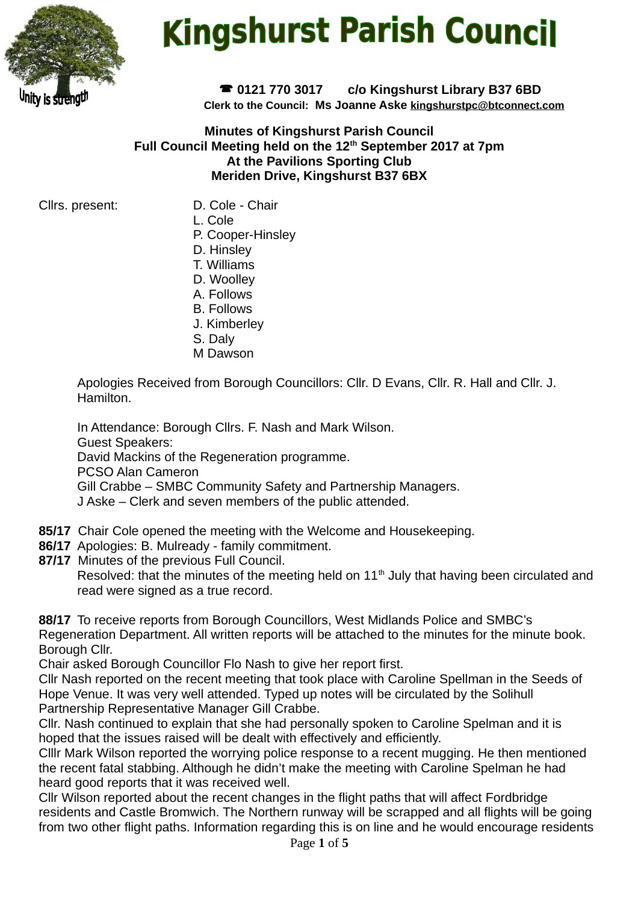

# **Kingshurst Parish Council**

 **0121 770 3017 c/o Kingshurst Library B37 6BD Clerk to the Council: Ms Joanne Aske [kingshurstpc@btconnect.com](mailto:kingshurstpc@btconnect.com)**

**Minutes of Kingshurst Parish Council Full Council Meeting held on the 12th September 2017 at 7pm At the Pavilions Sporting Club Meriden Drive, Kingshurst B37 6BX**

Cllrs. present: D. Cole - Chair

- 
- L. Cole
- P. Cooper-Hinsley
- D. Hinsley
- T. Williams
- D. Woolley
- A. Follows
- B. Follows
- J. Kimberley
- S. Daly
- M Dawson

Apologies Received from Borough Councillors: Cllr. D Evans, Cllr. R. Hall and Cllr. J. **Hamilton** 

In Attendance: Borough Cllrs. F. Nash and Mark Wilson. Guest Speakers: David Mackins of the Regeneration programme. PCSO Alan Cameron Gill Crabbe – SMBC Community Safety and Partnership Managers. J Aske – Clerk and seven members of the public attended.

- **85/17** Chair Cole opened the meeting with the Welcome and Housekeeping.
- **86/17** Apologies: B. Mulready family commitment.
- **87/17** Minutes of the previous Full Council.

Resolved: that the minutes of the meeting held on  $11<sup>th</sup>$  July that having been circulated and read were signed as a true record.

**88/17** To receive reports from Borough Councillors, West Midlands Police and SMBC's Regeneration Department. All written reports will be attached to the minutes for the minute book. Borough Cllr.

Chair asked Borough Councillor Flo Nash to give her report first.

Cllr Nash reported on the recent meeting that took place with Caroline Spellman in the Seeds of Hope Venue. It was very well attended. Typed up notes will be circulated by the Solihull Partnership Representative Manager Gill Crabbe.

Cllr. Nash continued to explain that she had personally spoken to Caroline Spelman and it is hoped that the issues raised will be dealt with effectively and efficiently.

Clllr Mark Wilson reported the worrying police response to a recent mugging. He then mentioned the recent fatal stabbing. Although he didn't make the meeting with Caroline Spelman he had heard good reports that it was received well.

Cllr Wilson reported about the recent changes in the flight paths that will affect Fordbridge residents and Castle Bromwich. The Northern runway will be scrapped and all flights will be going from two other flight paths. Information regarding this is on line and he would encourage residents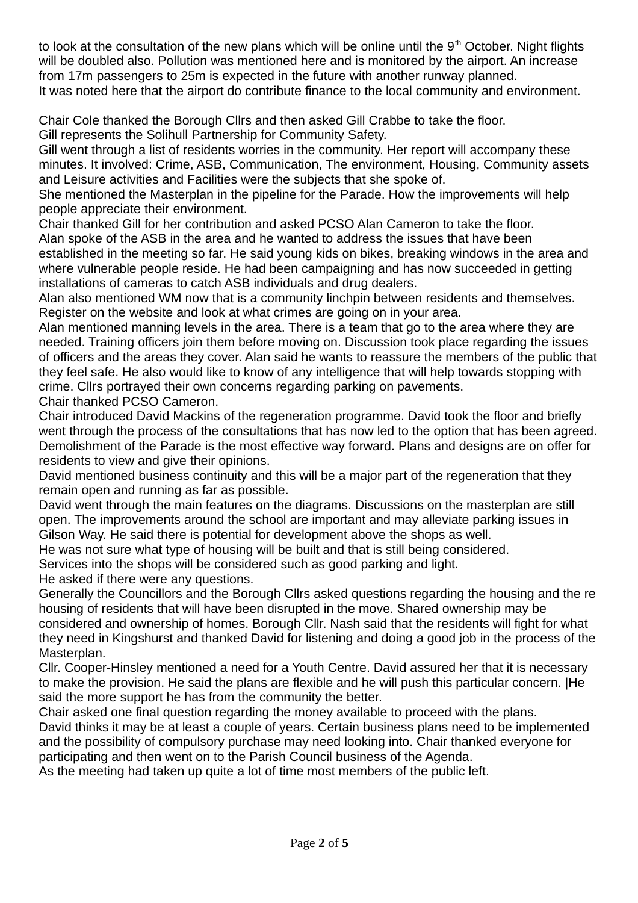to look at the consultation of the new plans which will be online until the  $9<sup>th</sup>$  October. Night flights will be doubled also. Pollution was mentioned here and is monitored by the airport. An increase from 17m passengers to 25m is expected in the future with another runway planned. It was noted here that the airport do contribute finance to the local community and environment.

Chair Cole thanked the Borough Cllrs and then asked Gill Crabbe to take the floor. Gill represents the Solihull Partnership for Community Safety.

Gill went through a list of residents worries in the community. Her report will accompany these minutes. It involved: Crime, ASB, Communication, The environment, Housing, Community assets and Leisure activities and Facilities were the subjects that she spoke of.

She mentioned the Masterplan in the pipeline for the Parade. How the improvements will help people appreciate their environment.

Chair thanked Gill for her contribution and asked PCSO Alan Cameron to take the floor. Alan spoke of the ASB in the area and he wanted to address the issues that have been established in the meeting so far. He said young kids on bikes, breaking windows in the area and where vulnerable people reside. He had been campaigning and has now succeeded in getting installations of cameras to catch ASB individuals and drug dealers.

Alan also mentioned WM now that is a community linchpin between residents and themselves. Register on the website and look at what crimes are going on in your area.

Alan mentioned manning levels in the area. There is a team that go to the area where they are needed. Training officers join them before moving on. Discussion took place regarding the issues of officers and the areas they cover. Alan said he wants to reassure the members of the public that they feel safe. He also would like to know of any intelligence that will help towards stopping with crime. Cllrs portrayed their own concerns regarding parking on pavements.

Chair thanked PCSO Cameron.

Chair introduced David Mackins of the regeneration programme. David took the floor and briefly went through the process of the consultations that has now led to the option that has been agreed. Demolishment of the Parade is the most effective way forward. Plans and designs are on offer for residents to view and give their opinions.

David mentioned business continuity and this will be a major part of the regeneration that they remain open and running as far as possible.

David went through the main features on the diagrams. Discussions on the masterplan are still open. The improvements around the school are important and may alleviate parking issues in Gilson Way. He said there is potential for development above the shops as well.

He was not sure what type of housing will be built and that is still being considered.

Services into the shops will be considered such as good parking and light.

He asked if there were any questions.

Generally the Councillors and the Borough Cllrs asked questions regarding the housing and the re housing of residents that will have been disrupted in the move. Shared ownership may be considered and ownership of homes. Borough Cllr. Nash said that the residents will fight for what they need in Kingshurst and thanked David for listening and doing a good job in the process of the Masterplan.

Cllr. Cooper-Hinsley mentioned a need for a Youth Centre. David assured her that it is necessary to make the provision. He said the plans are flexible and he will push this particular concern. |He said the more support he has from the community the better.

Chair asked one final question regarding the money available to proceed with the plans. David thinks it may be at least a couple of years. Certain business plans need to be implemented and the possibility of compulsory purchase may need looking into. Chair thanked everyone for participating and then went on to the Parish Council business of the Agenda.

As the meeting had taken up quite a lot of time most members of the public left.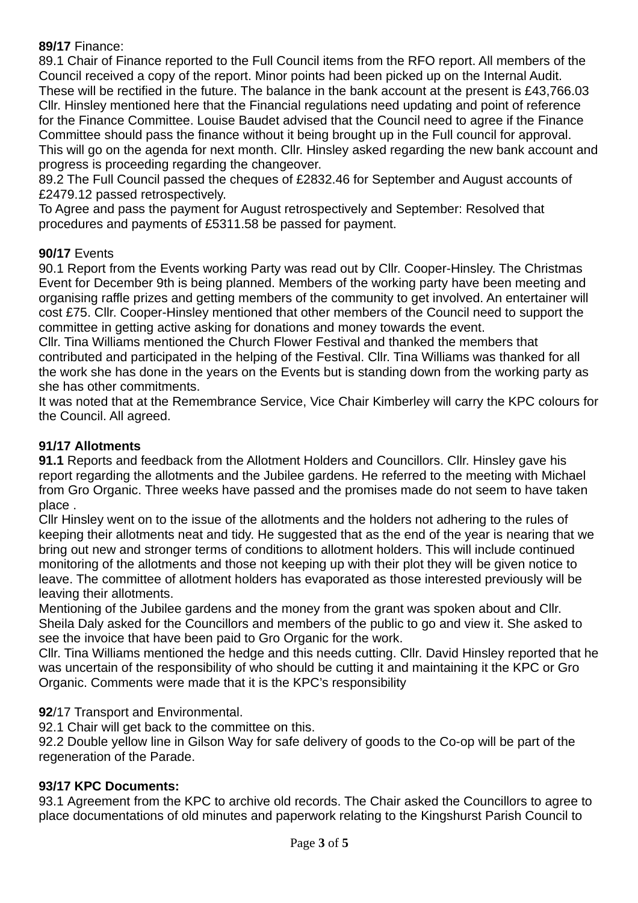#### **89/17** Finance:

89.1 Chair of Finance reported to the Full Council items from the RFO report. All members of the Council received a copy of the report. Minor points had been picked up on the Internal Audit. These will be rectified in the future. The balance in the bank account at the present is £43,766.03 Cllr. Hinsley mentioned here that the Financial regulations need updating and point of reference for the Finance Committee. Louise Baudet advised that the Council need to agree if the Finance Committee should pass the finance without it being brought up in the Full council for approval. This will go on the agenda for next month. Cllr. Hinsley asked regarding the new bank account and progress is proceeding regarding the changeover.

89.2 The Full Council passed the cheques of £2832.46 for September and August accounts of £2479.12 passed retrospectively.

To Agree and pass the payment for August retrospectively and September: Resolved that procedures and payments of £5311.58 be passed for payment.

#### **90/17** Events

90.1 Report from the Events working Party was read out by Cllr. Cooper-Hinsley. The Christmas Event for December 9th is being planned. Members of the working party have been meeting and organising raffle prizes and getting members of the community to get involved. An entertainer will cost £75. Cllr. Cooper-Hinsley mentioned that other members of the Council need to support the committee in getting active asking for donations and money towards the event.

Cllr. Tina Williams mentioned the Church Flower Festival and thanked the members that contributed and participated in the helping of the Festival. Cllr. Tina Williams was thanked for all the work she has done in the years on the Events but is standing down from the working party as she has other commitments.

It was noted that at the Remembrance Service, Vice Chair Kimberley will carry the KPC colours for the Council. All agreed.

## **91/17 Allotments**

**91.1** Reports and feedback from the Allotment Holders and Councillors. Cllr. Hinsley gave his report regarding the allotments and the Jubilee gardens. He referred to the meeting with Michael from Gro Organic. Three weeks have passed and the promises made do not seem to have taken place .

Cllr Hinsley went on to the issue of the allotments and the holders not adhering to the rules of keeping their allotments neat and tidy. He suggested that as the end of the year is nearing that we bring out new and stronger terms of conditions to allotment holders. This will include continued monitoring of the allotments and those not keeping up with their plot they will be given notice to leave. The committee of allotment holders has evaporated as those interested previously will be leaving their allotments.

Mentioning of the Jubilee gardens and the money from the grant was spoken about and Cllr. Sheila Daly asked for the Councillors and members of the public to go and view it. She asked to see the invoice that have been paid to Gro Organic for the work.

Cllr. Tina Williams mentioned the hedge and this needs cutting. Cllr. David Hinsley reported that he was uncertain of the responsibility of who should be cutting it and maintaining it the KPC or Gro Organic. Comments were made that it is the KPC's responsibility

#### **92**/17 Transport and Environmental.

92.1 Chair will get back to the committee on this.

92.2 Double yellow line in Gilson Way for safe delivery of goods to the Co-op will be part of the regeneration of the Parade.

#### **93/17 KPC Documents:**

93.1 Agreement from the KPC to archive old records. The Chair asked the Councillors to agree to place documentations of old minutes and paperwork relating to the Kingshurst Parish Council to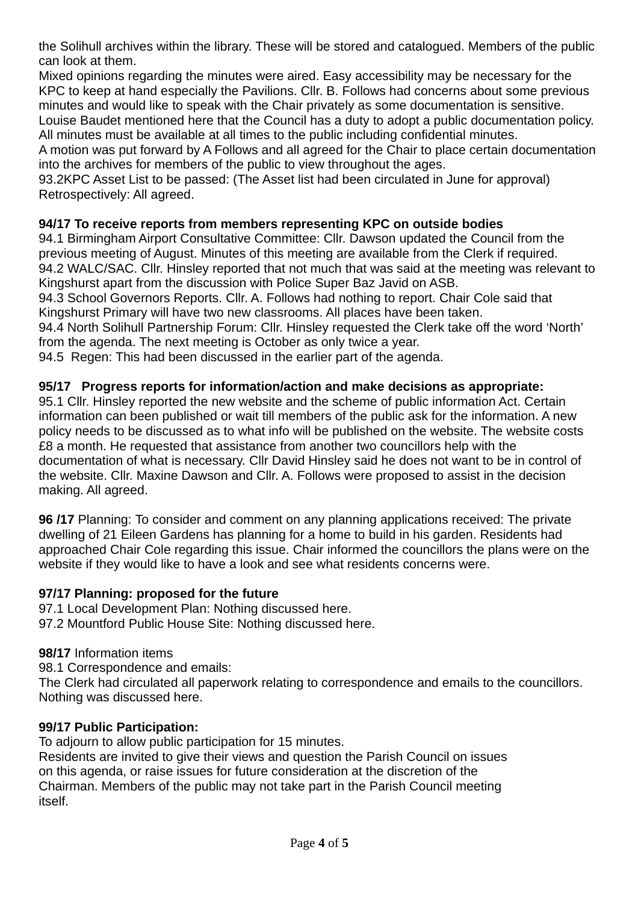the Solihull archives within the library. These will be stored and catalogued. Members of the public can look at them.

Mixed opinions regarding the minutes were aired. Easy accessibility may be necessary for the KPC to keep at hand especially the Pavilions. Cllr. B. Follows had concerns about some previous minutes and would like to speak with the Chair privately as some documentation is sensitive.

Louise Baudet mentioned here that the Council has a duty to adopt a public documentation policy. All minutes must be available at all times to the public including confidential minutes.

A motion was put forward by A Follows and all agreed for the Chair to place certain documentation into the archives for members of the public to view throughout the ages.

93.2KPC Asset List to be passed: (The Asset list had been circulated in June for approval) Retrospectively: All agreed.

## **94/17 To receive reports from members representing KPC on outside bodies**

94.1 Birmingham Airport Consultative Committee: Cllr. Dawson updated the Council from the previous meeting of August. Minutes of this meeting are available from the Clerk if required. 94.2 WALC/SAC. Cllr. Hinsley reported that not much that was said at the meeting was relevant to Kingshurst apart from the discussion with Police Super Baz Javid on ASB.

94.3 School Governors Reports. Cllr. A. Follows had nothing to report. Chair Cole said that Kingshurst Primary will have two new classrooms. All places have been taken.

94.4 North Solihull Partnership Forum: Cllr. Hinsley requested the Clerk take off the word 'North' from the agenda. The next meeting is October as only twice a year.

94.5 Regen: This had been discussed in the earlier part of the agenda.

## **95/17 Progress reports for information/action and make decisions as appropriate:**

95.1 Cllr. Hinsley reported the new website and the scheme of public information Act. Certain information can been published or wait till members of the public ask for the information. A new policy needs to be discussed as to what info will be published on the website. The website costs £8 a month. He requested that assistance from another two councillors help with the documentation of what is necessary. Cllr David Hinsley said he does not want to be in control of the website. Cllr. Maxine Dawson and Cllr. A. Follows were proposed to assist in the decision making. All agreed.

**96 /17** Planning: To consider and comment on any planning applications received: The private dwelling of 21 Eileen Gardens has planning for a home to build in his garden. Residents had approached Chair Cole regarding this issue. Chair informed the councillors the plans were on the website if they would like to have a look and see what residents concerns were.

## **97/17 Planning: proposed for the future**

97.1 Local Development Plan: Nothing discussed here. 97.2 Mountford Public House Site: Nothing discussed here.

#### **98/17** Information items

98.1 Correspondence and emails:

The Clerk had circulated all paperwork relating to correspondence and emails to the councillors. Nothing was discussed here.

## **99/17 Public Participation:**

To adjourn to allow public participation for 15 minutes. Residents are invited to give their views and question the Parish Council on issues on this agenda, or raise issues for future consideration at the discretion of the Chairman. Members of the public may not take part in the Parish Council meeting itself.